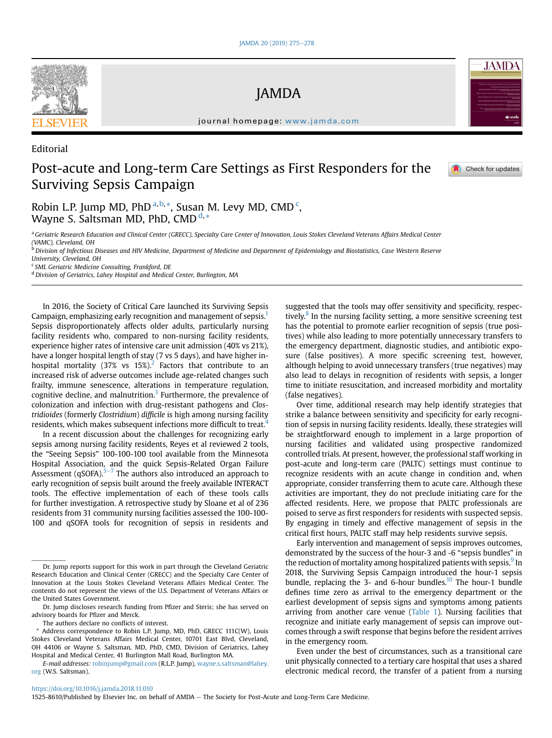

Editorial

JAMDA

journal homepage: [www.jamda.com](http://www.jamda.com)

# Post-acute and Long-term Care Settings as First Responders for the Surviving Sepsis Campaign



**JAMDA** 

## Check for updates

Robin L.P. Jump MD, PhD  $^{\mathrm{a,b,*}}$ , Susan M. Levy MD, CMD  $^{\mathrm{c}}$ , Wayne S. Saltsman MD, PhD, CMD <sup>d, \*</sup>

a Geriatric Research Education and Clinical Center (GRECC), Specialty Care Center of Innovation, Louis Stokes Cleveland Veterans Affairs Medical Center

(VAMC), Cleveland, OH<br><sup>b</sup> Division of Infectious Diseases and HIV Medicine, Department of Medicine and Department of Epidemiology and Biostatistics, Case Western Reserve University, Cleveland, OH

<sup>c</sup> SML Geriatric Medicine Consulting, Frankford, DE

<sup>d</sup> Division of Geriatrics, Lahey Hospital and Medical Center, Burlington, MA

In 2016, the Society of Critical Care launched its Surviving Sepsis Campaign, emphasizing early recognition and management of sepsis.<sup>[1](#page-2-0)</sup> Sepsis disproportionately affects older adults, particularly nursing facility residents who, compared to non-nursing facility residents, experience higher rates of intensive care unit admission (40% vs 21%), have a longer hospital length of stay (7 vs 5 days), and have higher inhospital mortality (37% vs  $15\%$ ). Factors that contribute to an increased risk of adverse outcomes include age-related changes such frailty, immune senescence, alterations in temperature regulation, cognitive decline, and malnutrition.<sup>3</sup> Furthermore, the prevalence of colonization and infection with drug-resistant pathogens and Clostridioides (formerly Clostridium) difficile is high among nursing facility residents, which makes subsequent infections more difficult to treat.<sup>4</sup>

In a recent discussion about the challenges for recognizing early sepsis among nursing facility residents, Reyes et al reviewed 2 tools, the "Seeing Sepsis" 100-100-100 tool available from the Minnesota Hospital Association, and the quick Sepsis-Related Organ Failure Assessment (qSOFA). $5-7$  $5-7$  $5-7$  The authors also introduced an approach to early recognition of sepsis built around the freely available INTERACT tools. The effective implementation of each of these tools calls for further investigation. A retrospective study by Sloane et al of 236 residents from 31 community nursing facilities assessed the 100-100- 100 and qSOFA tools for recognition of sepsis in residents and

suggested that the tools may offer sensitivity and specificity, respec-tively.<sup>[8](#page-3-0)</sup> In the nursing facility setting, a more sensitive screening test has the potential to promote earlier recognition of sepsis (true positives) while also leading to more potentially unnecessary transfers to the emergency department, diagnostic studies, and antibiotic exposure (false positives). A more specific screening test, however, although helping to avoid unnecessary transfers (true negatives) may also lead to delays in recognition of residents with sepsis, a longer time to initiate resuscitation, and increased morbidity and mortality (false negatives).

Over time, additional research may help identify strategies that strike a balance between sensitivity and specificity for early recognition of sepsis in nursing facility residents. Ideally, these strategies will be straightforward enough to implement in a large proportion of nursing facilities and validated using prospective randomized controlled trials. At present, however, the professional staff working in post-acute and long-term care (PALTC) settings must continue to recognize residents with an acute change in condition and, when appropriate, consider transferring them to acute care. Although these activities are important, they do not preclude initiating care for the affected residents. Here, we propose that PALTC professionals are poised to serve as first responders for residents with suspected sepsis. By engaging in timely and effective management of sepsis in the critical first hours, PALTC staff may help residents survive sepsis.

Early intervention and management of sepsis improves outcomes, demonstrated by the success of the hour-3 and -6 "sepsis bundles" in the reduction of mortality among hospitalized patients with sepsis.<sup>[9](#page-3-0)</sup> In 2018, the Surviving Sepsis Campaign introduced the hour-1 sepsis bundle, replacing the 3- and 6-hour bundles.<sup>[10](#page-3-0)</sup> The hour-1 bundle defines time zero as arrival to the emergency department or the earliest development of sepsis signs and symptoms among patients arriving from another care venue [\(Table 1\)](#page-1-0). Nursing facilities that recognize and initiate early management of sepsis can improve outcomes through a swift response that begins before the resident arrives in the emergency room.

Even under the best of circumstances, such as a transitional care unit physically connected to a tertiary care hospital that uses a shared electronic medical record, the transfer of a patient from a nursing

Dr. Jump reports support for this work in part through the Cleveland Geriatric Research Education and Clinical Center (GRECC) and the Specialty Care Center of Innovation at the Louis Stokes Cleveland Veterans Affairs Medical Center. The contents do not represent the views of the U.S. Department of Veterans Affairs or the United States Government.

Dr. Jump discloses research funding from Pfizer and Steris; she has served on advisory boards for Pfizer and Merck.

The authors declare no conflicts of interest.

<sup>\*</sup> Address correspondence to Robin L.P. Jump, MD, PhD, GRECC 111C(W), Louis Stokes Cleveland Veterans Affairs Medical Center, 10701 East Blvd, Cleveland, OH 44106 or Wayne S. Saltsman, MD, PhD, CMD, Division of Geriatrics, Lahey Hospital and Medical Center, 41 Burlington Mall Road, Burlington MA.

E-mail addresses: [robinjump@gmail.com](mailto:robinjump@gmail.com) (R.L.P. Jump), [wayne.s.saltsman@lahey.](mailto:wayne.s.saltsman@lahey.org) [org](mailto:wayne.s.saltsman@lahey.org) (W.S. Saltsman).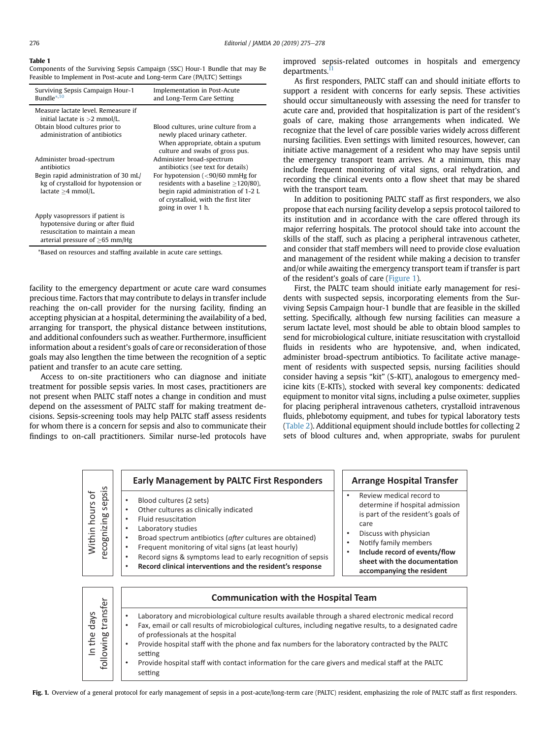### <span id="page-1-0"></span>Table 1

Components of the Surviving Sepsis Campaign (SSC) Hour-1 Bundle that may Be Feasible to Implement in Post-acute and Long-term Care (PA/LTC) Settings

| Surviving Sepsis Campaign Hour-1<br>Bundle $*$ , 10                                                                                           | Implementation in Post-Acute<br>and Long-Term Care Setting                                                                                                       |
|-----------------------------------------------------------------------------------------------------------------------------------------------|------------------------------------------------------------------------------------------------------------------------------------------------------------------|
| Measure lactate level. Remeasure if<br>initial lactate is $>$ 2 mmol/L.                                                                       |                                                                                                                                                                  |
| Obtain blood cultures prior to<br>administration of antibiotics                                                                               | Blood cultures, urine culture from a<br>newly placed urinary catheter.<br>When appropriate, obtain a sputum<br>culture and swabs of gross pus.                   |
| Administer broad-spectrum<br>antibiotics                                                                                                      | Administer broad-spectrum<br>antibiotics (see text for details)                                                                                                  |
| Begin rapid administration of 30 mL/<br>kg of crystalloid for hypotension or<br>$lactate > 4 mmol/L$ .                                        | For hypotension $(90/60 mmHg forresidents with a baseline \geq120/80),begin rapid administration of 1-2 Lof crystalloid, with the first litergoing in over 1 h.$ |
| Apply vasopressors if patient is<br>hypotensive during or after fluid<br>resuscitation to maintain a mean<br>arterial pressure of $>65$ mm/Hg |                                                                                                                                                                  |
|                                                                                                                                               |                                                                                                                                                                  |

\*Based on resources and staffing available in acute care settings.

facility to the emergency department or acute care ward consumes precious time. Factors that may contribute to delays in transfer include reaching the on-call provider for the nursing facility, finding an accepting physician at a hospital, determining the availability of a bed, arranging for transport, the physical distance between institutions, and additional confounders such as weather. Furthermore, insufficient information about a resident's goals of care or reconsideration of those goals may also lengthen the time between the recognition of a septic patient and transfer to an acute care setting.

Access to on-site practitioners who can diagnose and initiate treatment for possible sepsis varies. In most cases, practitioners are not present when PALTC staff notes a change in condition and must depend on the assessment of PALTC staff for making treatment decisions. Sepsis-screening tools may help PALTC staff assess residents for whom there is a concern for sepsis and also to communicate their findings to on-call practitioners. Similar nurse-led protocols have

• Blood cultures (2 sets)

of<br>of  $\frac{1}{2}$ 

improved sepsis-related outcomes in hospitals and emergency departments.<sup>11</sup>

As first responders, PALTC staff can and should initiate efforts to support a resident with concerns for early sepsis. These activities should occur simultaneously with assessing the need for transfer to acute care and, provided that hospitalization is part of the resident's goals of care, making those arrangements when indicated. We recognize that the level of care possible varies widely across different nursing facilities. Even settings with limited resources, however, can initiate active management of a resident who may have sepsis until the emergency transport team arrives. At a minimum, this may include frequent monitoring of vital signs, oral rehydration, and recording the clinical events onto a flow sheet that may be shared with the transport team.

In addition to positioning PALTC staff as first responders, we also propose that each nursing facility develop a sepsis protocol tailored to its institution and in accordance with the care offered through its major referring hospitals. The protocol should take into account the skills of the staff, such as placing a peripheral intravenous catheter, and consider that staff members will need to provide close evaluation and management of the resident while making a decision to transfer and/or while awaiting the emergency transport team if transfer is part of the resident's goals of care (Figure 1).

First, the PALTC team should initiate early management for residents with suspected sepsis, incorporating elements from the Surviving Sepsis Campaign hour-1 bundle that are feasible in the skilled setting. Specifically, although few nursing facilities can measure a serum lactate level, most should be able to obtain blood samples to send for microbiological culture, initiate resuscitation with crystalloid fluids in residents who are hypotensive, and, when indicated, administer broad-spectrum antibiotics. To facilitate active management of residents with suspected sepsis, nursing facilities should consider having a sepsis "kit" (S-KIT), analogous to emergency medicine kits (E-KITs), stocked with several key components: dedicated equipment to monitor vital signs, including a pulse oximeter, supplies for placing peripheral intravenous catheters, crystalloid intravenous fluids, phlebotomy equipment, and tubes for typical laboratory tests [\(Table 2\)](#page-2-0). Additional equipment should include bottles for collecting 2 sets of blood cultures and, when appropriate, swabs for purulent

Review medical record to

| 9S<br>hours<br>œ<br>Ξ.<br>recognizi<br>Within | DIUUU CUILUI ES (2 SELS)<br>determine if hospital admission<br>Other cultures as clinically indicated<br>٠<br>is part of the resident's goals of<br>Fluid resuscitation<br>٠<br>care<br>Laboratory studies<br>٠<br>Discuss with physician<br>٠<br>Broad spectrum antibiotics (after cultures are obtained)<br>٠<br>Notify family members<br>٠<br>Frequent monitoring of vital signs (at least hourly)<br>٠<br>Include record of events/flow<br>٠<br>Record signs & symptoms lead to early recognition of sepsis<br>٠<br>sheet with the documentation<br>Record clinical interventions and the resident's response<br>٠<br>accompanying the resident |  |  |
|-----------------------------------------------|-----------------------------------------------------------------------------------------------------------------------------------------------------------------------------------------------------------------------------------------------------------------------------------------------------------------------------------------------------------------------------------------------------------------------------------------------------------------------------------------------------------------------------------------------------------------------------------------------------------------------------------------------------|--|--|
|                                               | <b>Communication with the Hospital Team</b>                                                                                                                                                                                                                                                                                                                                                                                                                                                                                                                                                                                                         |  |  |
| transfer<br>days<br>In the r<br>following     | Laboratory and microbiological culture results available through a shared electronic medical record<br>٠<br>Fax, email or call results of microbiological cultures, including negative results, to a designated cadre<br>٠<br>of professionals at the hospital<br>Provide hospital staff with the phone and fax numbers for the laboratory contracted by the PALTC<br>٠<br>setting<br>Provide hospital staff with contact information for the care givers and medical staff at the PALTC<br>٠<br>setting                                                                                                                                            |  |  |

Early Management by PALTC First Responders | | Arrange Hospital Transfer

Fig. 1. Overview of a general protocol for early management of sepsis in a post-acute/long-term care (PALTC) resident, emphasizing the role of PALTC staff as first responders.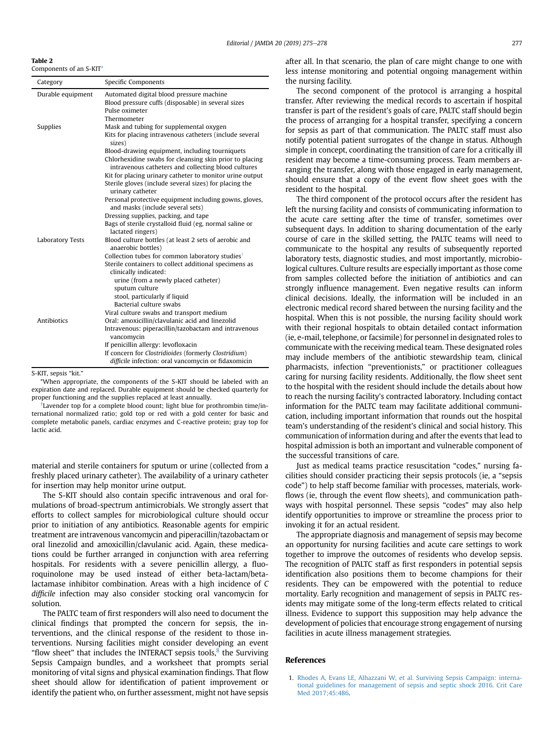<span id="page-2-0"></span>Table 2 Components of an S-KIT\*

| Category          | Specific Components                                                                                                                                                                                                                                                                                                                                                                                                                                                                                                                                                                                                                              |
|-------------------|--------------------------------------------------------------------------------------------------------------------------------------------------------------------------------------------------------------------------------------------------------------------------------------------------------------------------------------------------------------------------------------------------------------------------------------------------------------------------------------------------------------------------------------------------------------------------------------------------------------------------------------------------|
| Durable equipment | Automated digital blood pressure machine<br>Blood pressure cuffs (disposable) in several sizes<br>Pulse oximeter<br>Thermometer                                                                                                                                                                                                                                                                                                                                                                                                                                                                                                                  |
| Supplies          | Mask and tubing for supplemental oxygen<br>Kits for placing intravenous catheters (include several<br>sizes)<br>Blood-drawing equipment, including tourniquets<br>Chlorhexidine swabs for cleansing skin prior to placing<br>intravenous catheters and collecting blood cultures<br>Kit for placing urinary catheter to monitor urine output<br>Sterile gloves (include several sizes) for placing the<br>urinary catheter<br>Personal protective equipment including gowns, gloves,<br>and masks (include several sets)<br>Dressing supplies, packing, and tape<br>Bags of sterile crystalloid fluid (eg, normal saline or<br>lactated ringers) |
| Laboratory Tests  | Blood culture bottles (at least 2 sets of aerobic and<br>anaerobic bottles)<br>Collection tubes for common laboratory studies <sup>†</sup><br>Sterile containers to collect additional specimens as<br>clinically indicated:<br>urine (from a newly placed catheter)<br>sputum culture<br>stool, particularly if liquid<br>Bacterial culture swabs<br>Viral culture swabs and transport medium                                                                                                                                                                                                                                                   |
| Antibiotics       | Oral: amoxicillin/clavulanic acid and linezolid<br>Intravenous: piperacillin/tazobactam and intravenous<br>vancomycin<br>If penicillin allergy: levofloxacin<br>If concern for Clostridioides (formerly Clostridium)<br>difficile infection: oral vancomycin or fidaxomicin                                                                                                                                                                                                                                                                                                                                                                      |

S-KIT, sepsis "kit."

\*When appropriate, the components of the S-KIT should be labeled with an expiration date and replaced. Durable equipment should be checked quarterly for proper functioning and the supplies replaced at least annually.

tLavender top for a complete blood count; light blue for prothrombin time/international normalized ratio; gold top or red with a gold center for basic and complete metabolic panels, cardiac enzymes and C-reactive protein; gray top for lactic acid.

material and sterile containers for sputum or urine (collected from a freshly placed urinary catheter). The availability of a urinary catheter for insertion may help monitor urine output.

The S-KIT should also contain specific intravenous and oral formulations of broad-spectrum antimicrobials. We strongly assert that efforts to collect samples for microbiological culture should occur prior to initiation of any antibiotics. Reasonable agents for empiric treatment are intravenous vancomycin and piperacillin/tazobactam or oral linezolid and amoxicillin/clavulanic acid. Again, these medications could be further arranged in conjunction with area referring hospitals. For residents with a severe penicillin allergy, a fluoroquinolone may be used instead of either beta-lactam/betalactamase inhibitor combination. Areas with a high incidence of C difficile infection may also consider stocking oral vancomycin for solution.

The PALTC team of first responders will also need to document the clinical findings that prompted the concern for sepsis, the interventions, and the clinical response of the resident to those interventions. Nursing facilities might consider developing an event "flow sheet" that includes the INTERACT sepsis tools, $8$  the Surviving Sepsis Campaign bundles, and a worksheet that prompts serial monitoring of vital signs and physical examination findings. That flow sheet should allow for identification of patient improvement or identify the patient who, on further assessment, might not have sepsis after all. In that scenario, the plan of care might change to one with less intense monitoring and potential ongoing management within the nursing facility.

The second component of the protocol is arranging a hospital transfer. After reviewing the medical records to ascertain if hospital transfer is part of the resident's goals of care, PALTC staff should begin the process of arranging for a hospital transfer, specifying a concern for sepsis as part of that communication. The PALTC staff must also notify potential patient surrogates of the change in status. Although simple in concept, coordinating the transition of care for a critically ill resident may become a time-consuming process. Team members arranging the transfer, along with those engaged in early management, should ensure that a copy of the event flow sheet goes with the resident to the hospital.

The third component of the protocol occurs after the resident has left the nursing facility and consists of communicating information to the acute care setting after the time of transfer, sometimes over subsequent days. In addition to sharing documentation of the early course of care in the skilled setting, the PALTC teams will need to communicate to the hospital any results of subsequently reported laboratory tests, diagnostic studies, and most importantly, microbiological cultures. Culture results are especially important as those come from samples collected before the initiation of antibiotics and can strongly influence management. Even negative results can inform clinical decisions. Ideally, the information will be included in an electronic medical record shared between the nursing facility and the hospital. When this is not possible, the nursing facility should work with their regional hospitals to obtain detailed contact information (ie, e-mail, telephone, or facsimile) for personnel in designated roles to communicate with the receiving medical team. These designated roles may include members of the antibiotic stewardship team, clinical pharmacists, infection "preventionists," or practitioner colleagues caring for nursing facility residents. Additionally, the flow sheet sent to the hospital with the resident should include the details about how to reach the nursing facility's contracted laboratory. Including contact information for the PALTC team may facilitate additional communication, including important information that rounds out the hospital team's understanding of the resident's clinical and social history. This communication of information during and after the events that lead to hospital admission is both an important and vulnerable component of the successful transitions of care.

Just as medical teams practice resuscitation "codes," nursing facilities should consider practicing their sepsis protocols (ie, a "sepsis code") to help staff become familiar with processes, materials, workflows (ie, through the event flow sheets), and communication pathways with hospital personnel. These sepsis "codes" may also help identify opportunities to improve or streamline the process prior to invoking it for an actual resident.

The appropriate diagnosis and management of sepsis may become an opportunity for nursing facilities and acute care settings to work together to improve the outcomes of residents who develop sepsis. The recognition of PALTC staff as first responders in potential sepsis identification also positions them to become champions for their residents. They can be empowered with the potential to reduce mortality. Early recognition and management of sepsis in PALTC residents may mitigate some of the long-term effects related to critical illness. Evidence to support this supposition may help advance the development of policies that encourage strong engagement of nursing facilities in acute illness management strategies.

## **References**

1. [Rhodes A, Evans LE, Alhazzani W, et al. Surviving Sepsis Campaign: interna](http://refhub.elsevier.com/S1525-8610(18)30642-X/sref1)[tional guidelines for management of sepsis and septic shock 2016. Crit Care](http://refhub.elsevier.com/S1525-8610(18)30642-X/sref1) [Med 2017;45:486.](http://refhub.elsevier.com/S1525-8610(18)30642-X/sref1)